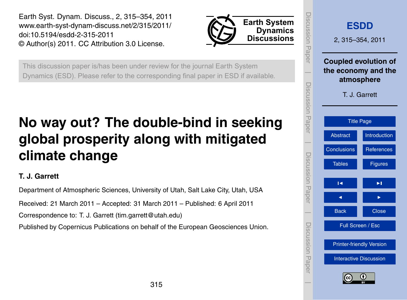<span id="page-0-0"></span>Earth Syst. Dynam. Discuss., 2, 315–354, 2011 www.earth-syst-dynam-discuss.net/2/315/2011/ doi:10.5194/esdd-2-315-2011 © Author(s) 2011. CC Attribution 3.0 License.



This discussion paper is/has been under review for the journal Earth System Dynamics (ESD). Please refer to the corresponding final paper in ESD if available.

# **No way out? The double-bind in seeking global prosperity along with mitigated climate change**

# **T. J. Garrett**

Department of Atmospheric Sciences, University of Utah, Salt Lake City, Utah, USA

Received: 21 March 2011 – Accepted: 31 March 2011 – Published: 6 April 2011

Correspondence to: T. J. Garrett (tim.garrett@utah.edu)

Published by Copernicus Publications on behalf of the European Geosciences Union.

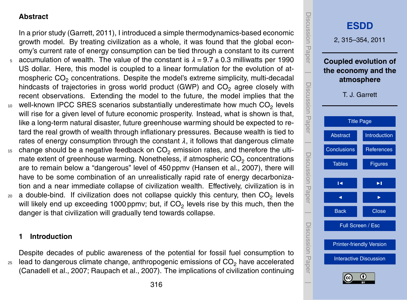# <span id="page-1-0"></span>**Abstract**

In a prior study [\(Garrett,](#page-27-0) [2011\)](#page-27-0), I introduced a simple thermodynamics-based economic growth model. By treating civilization as a whole, it was found that the global economy's current rate of energy consumption can be tied through a constant to its current 5 accumulation of wealth. The value of the constant is  $\lambda = 9.7 \pm 0.3$  milliwatts per 1990 US dollar. Here, this model is coupled to a linear formulation for the evolution of atmospheric CO<sub>2</sub> concentrations. Despite the model's extreme simplicity, multi-decadal hindcasts of trajectories in gross world product  $(GWP)$  and  $CO<sub>2</sub>$  agree closely with recent observations. Extending the model to the future, the model implies that the  $10$  well-known IPCC SRES scenarios substantially underestimate how much CO<sub>2</sub> levels will rise for a given level of future economic prosperity. Instead, what is shown is that, like a long-term natural disaster, future greenhouse warming should be expected to retard the real growth of wealth through inflationary pressures. Because wealth is tied to rates of energy consumption through the constant  $\lambda$ , it follows that dangerous climate

- $15$  change should be a negative feedback on  $CO<sub>2</sub>$  emission rates, and therefore the ultimate extent of greenhouse warming. Nonetheless, if atmospheric CO<sub>2</sub> concentrations are to remain below a "dangerous" level of 450 ppmv [\(Hansen et al.,](#page-27-0) [2007\)](#page-27-0), there will have to be some combination of an unrealistically rapid rate of energy decarbonization and a near immediate collapse of civilization wealth. Effectively, civilization is in
- $_{20}$  a double-bind. If civilization does not collapse quickly this century, then CO<sub>2</sub> levels will likely end up exceeding 1000 ppmv; but, if CO $_2$  levels rise by this much, then the danger is that civilization will gradually tend towards collapse.

### **1 Introduction**

Despite decades of public awareness of the potential for fossil fuel consumption to  $25$  lead to dangerous climate change, anthropogenic emissions of  $CO<sub>2</sub>$  have accelerated [\(Canadell et al.,](#page-26-0) [2007;](#page-26-0) [Raupach et al.,](#page-29-0) [2007\)](#page-29-0). The implications of civilization continuing

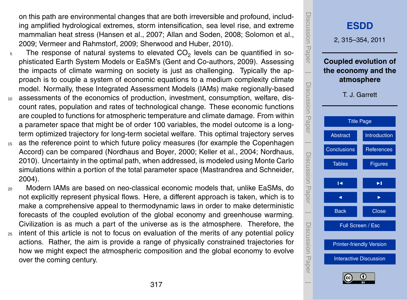<span id="page-2-0"></span>on this path are environmental changes that are both irreversible and profound, including amplified hydrological extremes, storm intensification, sea level rise, and extreme mammalian heat stress [\(Hansen et al.,](#page-27-0) [2007;](#page-27-0) [Allan and Soden,](#page-26-0) [2008;](#page-26-0) [Solomon et al.,](#page-29-0) [2009;](#page-29-0) [Vermeer and Rahmstorf,](#page-29-0) [2009;](#page-29-0) [Sherwood and Huber,](#page-29-0) [2010\)](#page-29-0).

- $_5$   $\;\;\;\;$  The response of natural systems to elevated CO<sub>2</sub> levels can be quantified in sophisticated Earth System Models or EaSM's [\(Gent and Co-authors,](#page-27-0) [2009\)](#page-27-0). Assessing the impacts of climate warming on society is just as challenging. Typically the approach is to couple a system of economic equations to a medium complexity climate model. Normally, these Integrated Assessment Models (IAMs) make regionally-based
- <sup>10</sup> assessments of the economics of production, investment, consumption, welfare, discount rates, population and rates of technological change. These economic functions are coupled to functions for atmospheric temperature and climate damage. From within a parameter space that might be of order 100 variables, the model outcome is a longterm optimized trajectory for long-term societal welfare. This optimal trajectory serves
- <sup>15</sup> as the reference point to which future policy measures (for example the Copenhagen Accord) can be compared [\(Nordhaus and Boyer,](#page-28-0) [2000;](#page-28-0) [Keller et al.,](#page-28-0) [2004;](#page-28-0) [Nordhaus,](#page-28-0) [2010\)](#page-28-0). Uncertainty in the optimal path, when addressed, is modeled using Monte Carlo simulations within a portion of the total parameter space [\(Mastrandrea and Schneider,](#page-28-0) [2004\)](#page-28-0).
- <sup>20</sup> Modern IAMs are based on neo-classical economic models that, unlike EaSMs, do not explicitly represent physical flows. Here, a different approach is taken, which is to make a comprehensive appeal to thermodynamic laws in order to make deterministic forecasts of the coupled evolution of the global economy and greenhouse warming. Civilization is as much a part of the universe as is the atmosphere. Therefore, the
- <sub>25</sub> intent of this article is not to focus on evaluation of the merits of any potential policy actions. Rather, the aim is provide a range of physically constrained trajectories for how we might expect the atmospheric composition and the global economy to evolve over the coming century.

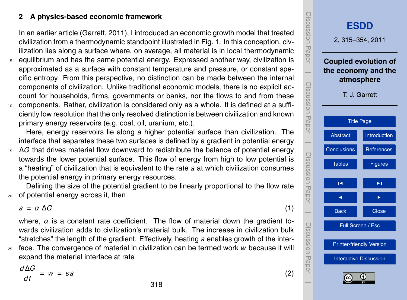# <span id="page-3-0"></span>**2 A physics-based economic framework**

In an earlier article [\(Garrett,](#page-27-0) [2011\)](#page-27-0), I introduced an economic growth model that treated civilization from a thermodynamic standpoint illustrated in Fig. [1.](#page-32-0) In this conception, civilization lies along a surface where, on average, all material is in local thermodynamic

- <sup>5</sup> equilibrium and has the same potential energy. Expressed another way, civilization is approximated as a surface with constant temperature and pressure, or constant specific entropy. From this perspective, no distinction can be made between the internal components of civilization. Unlike traditional economic models, there is no explicit account for households, firms, governments or banks, nor the flows to and from these <sup>10</sup> components. Rather, civilization is considered only as a whole. It is defined at a suffi-
- ciently low resolution that the only resolved distinction is between civilization and known primary energy reservoirs (e.g. coal, oil, uranium, etc.).

Here, energy reservoirs lie along a higher potential surface than civilization. The interface that separates these two surfaces is defined by a gradient in potential energy

<sup>15</sup> ∆*G* that drives material flow downward to redistribute the balance of potential energy towards the lower potential surface. This flow of energy from high to low potential is a "heating" of civilization that is equivalent to the rate *a* at which civilization consumes the potential energy in primary energy resources.

Defining the size of the potential gradient to be linearly proportional to the flow rate <sup>20</sup> of potential energy across it, then

 $a = \alpha \Delta G$  (1)

where,  $\alpha$  is a constant rate coefficient. The flow of material down the gradient towards civilization adds to civilization's material bulk. The increase in civilization bulk "stretches" the length of the gradient. Effectively, heating *a* enables growth of the inter-

<sup>25</sup> face. The convergence of material in civilization can be termed work *w* because it will expand the material interface at rate

*d*∆*G*  $\overline{dt}$  $= w = \epsilon a$  (2)

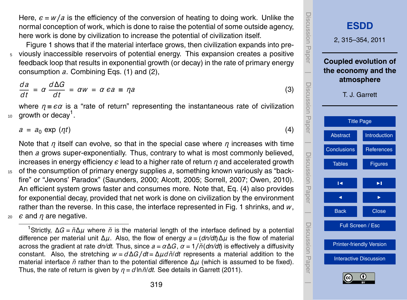<span id="page-4-0"></span>Here,  $\epsilon = w/a$  is the efficiency of the conversion of heating to doing work. Unlike the normal conception of work, which is done to raise the potential of some outside agency, here work is done by civilization to increase the potential of civilization itself.

Figure [1](#page-32-0) shows that if the material interface grows, then civilization expands into pre-<sup>5</sup> viously inaccessible reservoirs of potential energy. This expansion creates a positive feedback loop that results in exponential growth (or decay) in the rate of primary energy consumption *a*. Combining Eqs. [\(1\)](#page-3-0) and [\(2\)](#page-3-0),

$$
\frac{da}{dt} = \alpha \frac{d\Delta G}{dt} = \alpha w = \alpha \epsilon a \equiv \eta a \tag{3}
$$

where *η* ≡ *α* is a "rate of return" representing the instantaneous rate of civilization  $10$  growth or decay<sup>1</sup>.

 $a = a_0 \exp(\eta t)$  (4)

Note that *η* itself can evolve, so that in the special case where *η* increases with time then *a* grows super-exponentially. Thus, contrary to what is most commonly believed, increases in energy efficiency *ε* lead to a higher rate of return *η* and accelerated growth

<sup>15</sup> of the consumption of primary energy supplies *a*, something known variously as "backfire" or "Jevons' Paradox" [\(Saunders,](#page-29-0) [2000;](#page-29-0) [Alcott,](#page-26-0) [2005;](#page-26-0) [Sorrell,](#page-29-0) [2007;](#page-29-0) [Owen,](#page-29-0) [2010\)](#page-29-0). An efficient system grows faster and consumes more. Note that, Eq. (4) also provides for exponential decay, provided that net work is done on civilization by the environment rather than the reverse. In this case, the interface represented in Fig. [1](#page-32-0) shrinks, and *w*,  $20 \text{ } \epsilon$  and *n* are negative.

<sup>1</sup>Strictly, Δ*G* =  $ñΔ*µ*$  where  $ñ$  is the material length of the interface defined by a potential difference per material unit ∆*µ*. Also, the flow of energy *a* = (*dn/dt*)∆*µ* is the flow of material across the gradient at rate  $dn/dt$ . Thus, since  $a = \alpha \Delta G$ ,  $\alpha = 1/\tilde{n}(dn/dt)$  is effectively a diffusivity constant. Also, the stretching *w* = *d*∆*G/dt* = ∆*µdn*˘/*dt* represents a material addition to the material interface *n*̆ rather than to the potential difference Δ*μ* (which is assumed to be fixed). Thus, the rate of return is given by  $\eta = d \ln \tilde{n}/dt$ . See details in [Garrett](#page-27-0) [\(2011\)](#page-27-0).

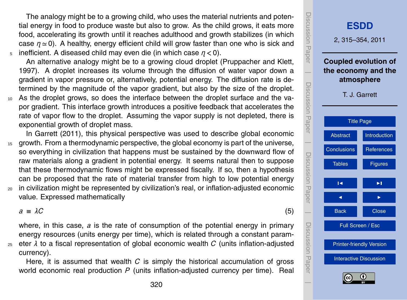<span id="page-5-0"></span>The analogy might be to a growing child, who uses the material nutrients and potential energy in food to produce waste but also to grow. As the child grows, it eats more food, accelerating its growth until it reaches adulthood and growth stabilizes (in which case  $n \approx 0$ ). A healthy, energy efficient child will grow faster than one who is sick and <sup>5</sup> inefficient. A diseased child may even die (in which case *η <* 0).

An alternative analogy might be to a growing cloud droplet [\(Pruppacher and Klett,](#page-29-0) [1997\)](#page-29-0). A droplet increases its volume through the diffusion of water vapor down a gradient in vapor pressure or, alternatively, potential energy. The diffusion rate is determined by the magnitude of the vapor gradient, but also by the size of the droplet.

<sup>10</sup> As the droplet grows, so does the interface between the droplet surface and the vapor gradient. This interface growth introduces a positive feedback that accelerates the rate of vapor flow to the droplet. Assuming the vapor supply is not depleted, there is exponential growth of droplet mass.

In [Garrett](#page-27-0) [\(2011\)](#page-27-0), this physical perspective was used to describe global economic <sup>15</sup> growth. From a thermodynamic perspective, the global economy is part of the universe, so everything in civilization that happens must be sustained by the downward flow of raw materials along a gradient in potential energy. It seems natural then to suppose that these thermodynamic flows might be expressed fiscally. If so, then a hypothesis can be proposed that the rate of material transfer from high to low potential energy

<sup>20</sup> in civilization might be represented by civilization's real, or inflation-adjusted economic value. Expressed mathematically

 $a \equiv \lambda C$  (5)

where, in this case, *a* is the rate of consumption of the potential energy in primary energy resources (units energy per time), which is related through a constant param-<sup>25</sup> eter *λ* to a fiscal representation of global economic wealth *C* (units inflation-adjusted

currency).

Here, it is assumed that wealth *C* is simply the historical accumulation of gross world economic real production *P* (units inflation-adjusted currency per time). Real

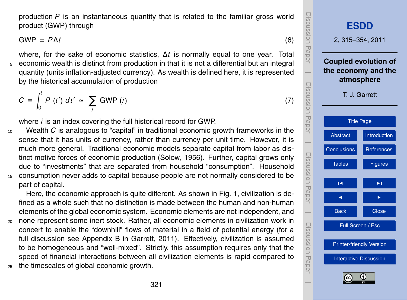<span id="page-6-0"></span>production *P* is an instantaneous quantity that is related to the familiar gross world product (GWP) through

 $GWP = P\Delta t$  (6)

where, for the sake of economic statistics, ∆*t* is normally equal to one year. Total <sup>5</sup> economic wealth is distinct from production in that it is not a differential but an integral quantity (units inflation-adjusted currency). As wealth is defined here, it is represented by the historical accumulation of production

$$
C \equiv \int_0^t P(t') dt' \simeq \sum_i \text{ GWP}(i)
$$
 (7)

where *i* is an index covering the full historical record for GWP.

<sup>10</sup> Wealth *C* is analogous to "capital" in traditional economic growth frameworks in the sense that it has units of currency, rather than currency per unit time. However, it is much more general. Traditional economic models separate capital from labor as distinct motive forces of economic production [\(Solow,](#page-29-0) [1956\)](#page-29-0). Further, capital grows only due to "investments" that are separated from household "consumption". Household <sup>15</sup> consumption never adds to capital because people are not normally considered to be part of capital.

Here, the economic approach is quite different. As shown in Fig. [1,](#page-32-0) civilization is defined as a whole such that no distinction is made between the human and non-human elements of the global economic system. Economic elements are not independent, and <sup>20</sup> none represent some inert stock. Rather, all economic elements in civilization work in

- concert to enable the "downhill" flows of material in a field of potential energy (for a full discussion see Appendix B in [Garrett,](#page-27-0) [2011\)](#page-27-0). Effectively, civilization is assumed to be homogeneous and "well-mixed". Strictly, this assumption requires only that the speed of financial interactions between all civilization elements is rapid compared to
- <sup>25</sup> the timescales of global economic growth.

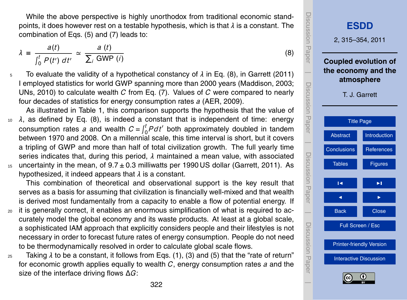<span id="page-7-0"></span>While the above perspective is highly unorthodox from traditional economic standpoints, it does however rest on a testable hypothesis, which is that *λ* is a constant. The combination of Eqs. [\(5\)](#page-5-0) and [\(7\)](#page-6-0) leads to:

$$
\lambda \equiv \frac{a(t)}{\int_0^t P(t') dt'} \simeq \frac{a(t)}{\sum_i \text{ GWP}(i)}
$$

- <sup>5</sup> To evaluate the validity of a hypothetical constancy of *λ* in Eq. (8), in [Garrett](#page-27-0) [\(2011\)](#page-27-0) I employed statistics for world GWP spanning more than 2000 years [\(Maddison,](#page-28-0) [2003;](#page-28-0) [UNs,](#page-29-0) [2010\)](#page-29-0) to calculate wealth *C* from Eq. [\(7\)](#page-6-0). Values of *C* were compared to nearly four decades of statistics for energy consumption rates *a* [\(AER,](#page-26-0) [2009\)](#page-26-0).
- As illustrated in Table [1,](#page-30-0) this comparison supports the hypothesis that the value of <sup>10</sup> *λ*, as defined by Eq. (8), is indeed a constant that is independent of time: energy consumption rates a and wealth  $C = \int_0^t P dt'$  both approximately doubled in tandem between 1970 and 2008. On a millennial scale, this time interval is short, but it covers a tripling of GWP and more than half of total civilization growth. The full yearly time series indicates that, during this period, *λ* maintained a mean value, with associated  $15$  uncertainty in the mean, of  $9.7 \pm 0.3$  milliwatts per 1990 US dollar [\(Garrett,](#page-27-0) [2011\)](#page-27-0). As hypothesized, it indeed appears that *λ* is a constant.

This combination of theoretical and observational support is the key result that serves as a basis for assuming that civilization is financially well-mixed and that wealth is derived most fundamentally from a capacity to enable a flow of potential energy. If

- <sup>20</sup> it is generally correct, it enables an enormous simplification of what is required to accurately model the global economy and its waste products. At least at a global scale, a sophisticated IAM approach that explicitly considers people and their lifestyles is not necessary in order to forecast future rates of energy consumption. People do not need to be thermodynamically resolved in order to calculate global scale flows.
- <sup>25</sup> Taking *λ* to be a constant, it follows from Eqs. [\(1\)](#page-3-0), [\(3\)](#page-4-0) and [\(5\)](#page-5-0) that the "rate of return" for economic growth applies equally to wealth *C*, energy consumption rates *a* and the size of the interface driving flows ∆*G*:



(8)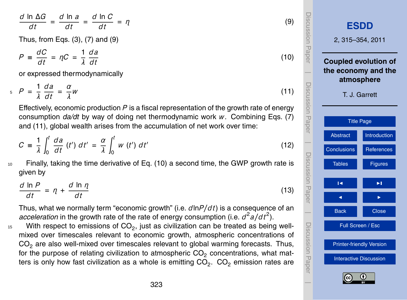<span id="page-8-0"></span>
$$
\frac{d \ln \Delta G}{dt} = \frac{d \ln a}{dt} = \frac{d \ln C}{dt} = \eta
$$
\nThus, from Eqs. (3), (7) and (9)

$$
P = \frac{dC}{dt} = \eta C = \frac{1}{\lambda} \frac{da}{dt}
$$
 (10)

or expressed thermodynamically

$$
P = \frac{1}{\lambda} \frac{da}{dt} = \frac{\alpha}{\lambda}W \tag{11}
$$

Effectively, economic production *P* is a fiscal representation of the growth rate of energy consumption *da/dt* by way of doing net thermodynamic work *w*. Combining Eqs. [\(7\)](#page-6-0) and (11), global wealth arises from the accumulation of net work over time:

$$
C = \frac{1}{\lambda} \int_0^t \frac{da}{dt} \left(t'\right) dt' = \frac{\alpha}{\lambda} \int_0^t w \left(t'\right) dt'
$$
 (12)

<sup>10</sup> Finally, taking the time derivative of Eq. (10) a second time, the GWP growth rate is given by

$$
\frac{d \ln P}{dt} = \eta + \frac{d \ln \eta}{dt} \tag{13}
$$

Thus, what we normally term "economic growth" (i.e. *d*ln*P/d t*) is a consequence of an *acceleration* in the growth rate of the rate of energy consumption (i.e.  $d^2a/dt^2$ ).

 $15$  With respect to emissions of CO<sub>2</sub>, just as civilization can be treated as being wellmixed over timescales relevant to economic growth, atmospheric concentrations of CO<sub>2</sub> are also well-mixed over timescales relevant to global warming forecasts. Thus, for the purpose of relating civilization to atmospheric  $CO<sub>2</sub>$  concentrations, what matters is only how fast civilization as a whole is emitting CO<sub>2</sub>. CO<sub>2</sub> emission rates are

Discussion Paper Discussion Paper**[ESDD](http://www.earth-syst-dynam-discuss.net)** 2, 315–354, 2011 **Coupled evolution of**  $\overline{\phantom{a}}$ **the economy and the atmosphere** Discussion PaperDiscussion Paper T. J. Garrett [Title Page](#page-0-0) [Abstract](#page-1-0) III [Introduction](#page-1-0)  $\overline{\phantom{a}}$ [Conclusions](#page-22-0) [References](#page-26-0) Discussion PaperDiscussion Paper [Tables](#page-30-0) **[Figures](#page-32-0)**  $\overline{\phantom{a}}$ J I  $\overline{\phantom{a}}$ Back **N** Close Discussion PaperDiscussion Paper Full Screen / Esc [Printer-friendly Version](http://www.earth-syst-dynam-discuss.net/2/315/2011/esdd-2-315-2011-print.pdf) [Interactive Discussion](http://www.earth-syst-dynam-discuss.net/2/315/2011/esdd-2-315-2011-discussion.html)  $\overline{\phantom{a}}$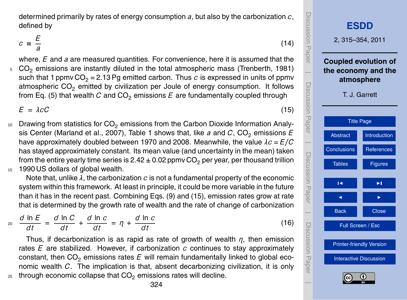<span id="page-9-0"></span>determined primarily by rates of energy consumption *a*, but also by the carbonization *c*, defined by

$$
c \equiv \frac{E}{a}
$$

where, *E* and *a* are measured quantities. For convenience, here it is assumed that the <sup>5</sup> CO<sup>2</sup> emissions are instantly diluted in the total atmospheric mass [\(Trenberth,](#page-29-0) [1981\)](#page-29-0) such that 1 ppmv  $CO<sub>2</sub> = 2.13$  Pg emitted carbon. Thus *c* is expressed in units of ppmv atmospheric  $CO<sub>2</sub>$  emitted by civilization per Joule of energy consumption. It follows from Eq. [\(5\)](#page-5-0) that wealth  $C$  and  $CO<sub>2</sub>$  emissions  $E$  are fundamentally coupled through

 $E = \lambda cC$  (15)

 $10$  Drawing from statistics for CO<sub>2</sub> emissions from the Carbon Dioxide Information Analy-sis Center [\(Marland et al.,](#page-28-0) [2007\)](#page-28-0), Table [1](#page-30-0) shows that, like *a* and *C*, CO<sub>2</sub> emissions *E* have approximately doubled between 1970 and 2008. Meanwhile, the value *λc* = *E/C* has stayed approximately constant. Its mean value (and uncertainty in the mean) taken from the entire yearly time series is  $2.42 \pm 0.02$  ppmv CO<sub>2</sub> per year, per thousand trillion 15 1990 US dollars of global wealth.

Note that, unlike *λ*, the carbonization *c* is not a fundamental property of the economic system within this framework. At least in principle, it could be more variable in the future than it has in the recent past. Combining Eqs. [\(9\)](#page-8-0) and (15), emission rates grow at rate that is determined by the growth rate of wealth and the rate of change of carbonization

$$
\frac{d \ln E}{dt} = \frac{d \ln C}{dt} + \frac{d \ln c}{dt} = \eta + \frac{d \ln c}{dt} \tag{16}
$$

Thus, if decarbonization is as rapid as rate of growth of wealth *η*, then emission rates *E* are stabilized. However, if carbonization *c* continues to stay approximately constant, then  $CO<sub>2</sub>$  emissions rates  $E$  will remain fundamentally linked to global economic wealth *C*. The implication is that, absent decarbonizing civilization, it is only  $25$  through economic collapse that  $CO<sub>2</sub>$  emissions rates will decline.



(14)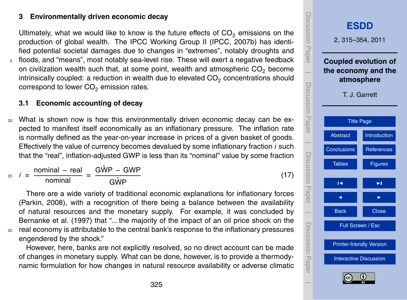#### <span id="page-10-0"></span>**3 Environmentally driven economic decay**

Ultimately, what we would like to know is the future effects of  $CO<sub>2</sub>$  emissions on the production of global wealth. The IPCC Working Group II [\(IPCC,](#page-27-0) [2007b\)](#page-27-0) has identified potential societal damages due to changes in "extremes", notably droughts and

<sup>5</sup> floods, and "means", most notably sea-level rise. These will exert a negative feedback on civilization wealth such that, at some point, wealth and atmospheric  $CO<sub>2</sub>$  become intrinsically coupled: a reduction in wealth due to elevated  $CO<sub>2</sub>$  concentrations should correspond to lower  $CO<sub>2</sub>$  emission rates.

#### **3.1 Economic accounting of decay**

<sup>10</sup> What is shown now is how this environmentally driven economic decay can be expected to manifest itself economically as an inflationary pressure. The inflation rate is normally defined as the year-on-year increase in prices of a given basket of goods. Effectively the value of currency becomes devalued by some inflationary fraction *i* such that the "real", inflation-adjusted GWP is less than its "nominal" value by some fraction

$$
i_5 \quad i = \frac{\text{nominal} - \text{real}}{\text{nominal}} = \frac{\text{G}\hat{\text{WP}} - \text{GWP}}{\text{G}\hat{\text{WP}}}
$$
(17)

There are a wide variety of traditional economic explanations for inflationary forces [\(Parkin,](#page-29-0) [2008\)](#page-29-0), with a recognition of there being a balance between the availability of natural resources and the monetary supply. For example, it was concluded by [Bernanke et al.](#page-26-0) [\(1997\)](#page-26-0) that "... the majority of the impact of an oil price shock on the <sup>20</sup> real economy is attributable to the central bank's response to the inflationary pressures engendered by the shock."

However, here, banks are not explicitly resolved, so no direct account can be made of changes in monetary supply. What can be done, however, is to provide a thermodynamic formulation for how changes in natural resource availability or adverse climatic

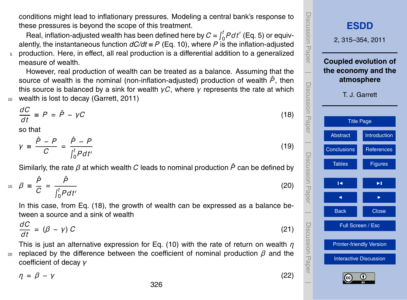<span id="page-11-0"></span>conditions might lead to inflationary pressures. Modeling a central bank's response to these pressures is beyond the scope of this treatment.

Real, inflation-adjusted wealth has been defined here by  $C = \int_0^t P dt'$  (Eq. [5\)](#page-5-0) or equivalently, the instantaneous function  $dC/dt \equiv P$  (Eq. [10\)](#page-8-0), where *P* is the inflation-adjusted <sup>5</sup> production. Here, in effect, all real production is a differential addition to a generalized measure of wealth.

However, real production of wealth can be treated as a balance. Assuming that the source of wealth is the nominal (non-inflation-adjusted) production of wealth  $\hat{P}$ , then this source is balanced by a sink for wealth *γC*, where *γ* represents the rate at which <sup>10</sup> wealth is lost to decay [\(Garrett,](#page-27-0) [2011\)](#page-27-0)

$$
\frac{dC}{dt} \equiv P = \hat{P} - \gamma C \tag{18}
$$

so that

$$
\gamma \equiv \frac{\hat{P} - P}{C} = \frac{\hat{P} - P}{\int_0^t P dt'}
$$

Similarly, the rate *β* at which wealth *C* leads to nominal production *P*ˆ can be defined by

$$
A_5 \quad \beta \equiv \frac{\hat{P}}{C} = \frac{\hat{P}}{\int_0^t P dt'} \tag{20}
$$

In this case, from Eq. (18), the growth of wealth can be expressed as a balance between a source and a sink of wealth

$$
\frac{dC}{dt} = (\beta - \gamma) C \tag{21}
$$

This is just an alternative expression for Eq. [\(10\)](#page-8-0) with the rate of return on wealth *η* <sup>20</sup> replaced by the difference between the coefficient of nominal production  $β$  and the coefficient of decay *γ*

*η* = *β* − *γ* (22)



(19)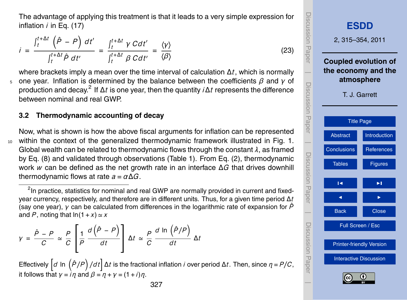<span id="page-12-0"></span>The advantage of applying this treatment is that it leads to a very simple expression for inflation *i* in Eq. [\(17\)](#page-10-0)

$$
i = \frac{\int_t^{t+\Delta t} (\hat{P} - P) dt'}{\int_t^{t+\Delta t} \hat{P} dt'} = \frac{\int_t^{t+\Delta t} \gamma C dt'}{\int_t^{t+\Delta t} \beta C dt'} = \frac{\langle \gamma \rangle}{\langle \beta \rangle}
$$

where brackets imply a mean over the time interval of calculation ∆*t*, which is normally <sup>5</sup> one year. Inflation is determined by the balance between the coefficients *β* and *γ* of production and decay.<sup>2</sup> If ∆*t* is one year, then the quantity *i*∆*t* represents the difference between nominal and real GWP.

#### **3.2 Thermodynamic accounting of decay**

Now, what is shown is how the above fiscal arguments for inflation can be represented <sup>10</sup> within the context of the generalized thermodynamic framework illustrated in Fig. [1.](#page-32-0) Global wealth can be related to thermodynamic flows through the constant *λ*, as framed by Eq. [\(8\)](#page-7-0) and validated through observations (Table [1\)](#page-30-0). From Eq. [\(2\)](#page-3-0), thermodynamic work *w* can be defined as the net growth rate in an interface ∆*G* that drives downhill thermodynamic flows at rate  $a = \alpha \Delta G$ .

<sup>2</sup>In practice, statistics for nominal and real GWP are normally provided in current and fixedyear currency, respectively, and therefore are in different units. Thus, for a given time period ∆*t* (say one year), *γ* can be calculated from differences in the logarithmic rate of expansion for *P*ˆ and P, noting that  $ln(1+x) \simeq x$ 

$$
\gamma = \frac{\hat{P} - P}{C} \simeq \frac{P}{C} \left[ \frac{1}{P} \frac{d(\hat{P} - P)}{dt} \right] \Delta t \simeq \frac{P}{C} \frac{d \ln(\hat{P}/P)}{dt} \Delta t
$$

*Effectively*  $\left[d \ln \left(\frac{\hat{P}}{P}\right)/dt\right]$  ∆*t* is the fractional inflation *i* over period ∆*t*. Then, since *η* = *P*/*C*, it follows that  $\gamma = i\eta$  and  $\beta = \eta + \gamma = (1 + i)\eta$ .



(23)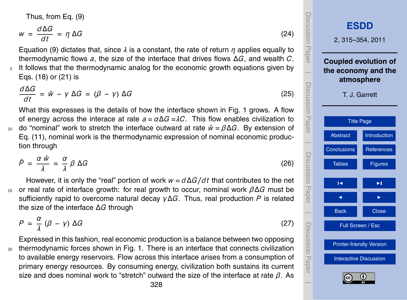<span id="page-13-0"></span>Thus, from Eq. [\(9\)](#page-8-0)

$$
w = \frac{d\Delta G}{dt} = \eta \Delta G \tag{24}
$$

Equation [\(9\)](#page-8-0) dictates that, since *λ* is a constant, the rate of return *η* applies equally to thermodynamic flows *a*, the size of the interface that drives flows ∆*G*, and wealth *C*. <sup>5</sup> It follows that the thermodynamic analog for the economic growth equations given by Eqs. [\(18\)](#page-11-0) or [\(21\)](#page-11-0) is

$$
\frac{d\Delta G}{dt} = \hat{w} - \gamma \Delta G = (\beta - \gamma) \Delta G \tag{25}
$$

What this expresses is the details of how the interface shown in Fig. [1](#page-32-0) grows. A flow of energy across the interace at rate  $a = \alpha \Delta G = \lambda C$ . This flow enables civilization to 10 do "nominal" work to stretch the interface outward at rate  $\hat{w} = \beta \Delta G$ . By extension of Eq. [\(11\)](#page-8-0), nominal work is the thermodynamic expression of nominal economic production through

$$
\hat{P} = \frac{\alpha \hat{w}}{\lambda} = \frac{\alpha}{\lambda} \beta \Delta G \tag{26}
$$

However, it is only the "real" portion of work *w* = *d*∆*G/d t* that contributes to the net <sup>15</sup> or real rate of interface growth: for real growth to occur, nominal work *β*∆*G* must be sufficiently rapid to overcome natural decay *γ*∆*G*. Thus, real production *P* is related the size of the interface ∆*G* through

$$
P = \frac{\alpha}{\lambda} \left( \beta - \gamma \right) \Delta G \tag{27}
$$

Expressed in this fashion, real economic production is a balance between two opposing <sup>20</sup> thermodynamic forces shown in Fig. [1.](#page-32-0) There is an interface that connects civilization to available energy reservoirs. Flow across this interface arises from a consumption of primary energy resources. By consuming energy, civilization both sustains its current size and does nominal work to "stretch" outward the size of the interface at rate *β*. As

Discussion Paper Discussion Paper**[ESDD](http://www.earth-syst-dynam-discuss.net)** 2, 315–354, 2011 **Coupled evolution of**  $\overline{\phantom{a}}$ **the economy and the atmosphere** Discussion PaperDiscussion<br>Paper T. J. Garrett [Title Page](#page-0-0) [Abstract](#page-1-0) [Introduction](#page-1-0)  $\overline{\phantom{a}}$ [Conclusions](#page-22-0) [References](#page-26-0) Discussion PaperDiscussion Paper [Tables](#page-30-0) **[Figures](#page-32-0)**  $\overline{\phantom{a}}$ J I  $\overline{\phantom{a}}$ Back **N** Close Discussion PaperDiscussion Paper Full Screen / Esc [Printer-friendly Version](http://www.earth-syst-dynam-discuss.net/2/315/2011/esdd-2-315-2011-print.pdf) [Interactive Discussion](http://www.earth-syst-dynam-discuss.net/2/315/2011/esdd-2-315-2011-discussion.html)  $\overline{\phantom{a}}$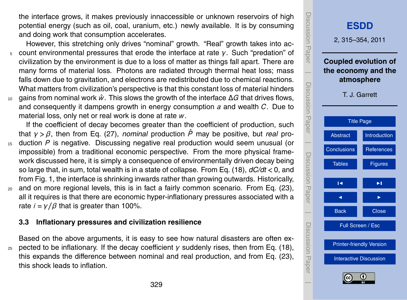the interface grows, it makes previously innaccessible or unknown reservoirs of high potential energy (such as oil, coal, uranium, etc.) newly available. It is by consuming and doing work that consumption accelerates.

However, this stretching only drives "nominal" growth. "Real" growth takes into ac-<sup>5</sup> count environmental pressures that erode the interface at rate *γ*. Such "predation" of civilization by the environment is due to a loss of matter as things fall apart. There are many forms of material loss. Photons are radiated through thermal heat loss; mass falls down due to gravitation, and electrons are redistributed due to chemical reactions. What matters from civilization's perspective is that this constant loss of material hinders <sup>10</sup> gains from nominal work *w*ˆ . This slows the growth of the interface ∆*G* that drives flows,

and consequently it dampens growth in energy consumption *a* and wealth *C*. Due to material loss, only net or real work is done at rate *w*.

If the coefficient of decay becomes greater than the coefficient of production, such that *γ > β*, then from Eq. [\(27\)](#page-13-0), *nominal* production *P*ˆ may be positive, but *real* pro-

- <sup>15</sup> duction *P* is negative. Discussing negative real production would seem unusual (or impossible) from a traditional economic perspective. From the more physical framework discussed here, it is simply a consequence of environmentally driven decay being so large that, in sum, total wealth is in a state of collapse. From Eq. [\(18\)](#page-11-0), *dC/dt <* 0, and from Fig. [1,](#page-32-0) the interface is shrinking inwards rather than growing outwards. Historically,
- <sup>20</sup> and on more regional levels, this is in fact a fairly common scenario. From Eq. [\(23\)](#page-12-0), all it requires is that there are economic hyper-inflationary pressures associated with a rate  $i = \gamma/\beta$  that is greater than 100%.

# **3.3 Inflationary pressures and civilization resilience**

Based on the above arguments, it is easy to see how natural disasters are often ex-<sup>25</sup> pected to be inflationary. If the decay coefficient *γ* suddenly rises, then from Eq. [\(18\)](#page-11-0), this expands the difference between nominal and real production, and from Eq. [\(23\)](#page-12-0), this shock leads to inflation.

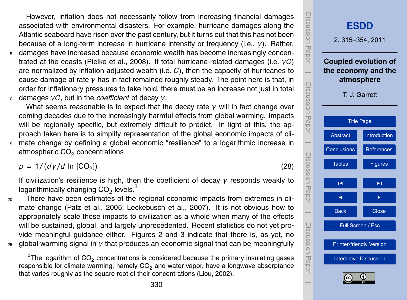However, inflation does not necessarily follow from increasing financial damages associated with environmental disasters. For example, hurricane damages along the Atlantic seaboard have risen over the past century, but it turns out that this has not been because of a long-term increase in hurricane intensity or frequency (i.e., *γ*). Rather,

damages have increased because economic wealth has become increasingly concentrated at the coasts [\(Pielke et al.,](#page-29-0) [2008\)](#page-29-0). If total hurricane-related damages (i.e. *γC*) are normalized by inflation-adjusted wealth (i.e. *C*), then the capacity of hurricanes to cause damage at rate *γ* has in fact remained roughly steady. The point here is that, in order for inflationary pressures to take hold, there must be an increase not just in total <sup>10</sup> damages *γC*, but in the *coe*ffi*cient* of decay *γ*.

What seems reasonable is to expect that the decay rate *γ* will in fact change over coming decades due to the increasingly harmful effects from global warming. Impacts will be regionally specific, but extremely difficult to predict. In light of this, the approach taken here is to simplify representation of the global economic impacts of cli-<sup>15</sup> mate change by defining a global economic "resilience" to a logarithmic increase in atmospheric CO $_2$  concentrations

 $ρ = 1/(dγ/d ln [CO<sub>2</sub>])$ 

If civilization's resilience is high, then the coefficient of decay *γ* responds weakly to logarithmically changing  $\mathsf{CO}_2$  levels.<sup>3</sup>

<sup>20</sup> There have been estimates of the regional economic impacts from extremes in climate change [\(Patz et al.,](#page-29-0) [2005;](#page-29-0) [Leckebusch et al.,](#page-28-0) [2007\)](#page-28-0). It is not obvious how to appropriately scale these impacts to civilization as a whole when many of the effects will be sustained, global, and largely unprecedented. Recent statistics do not yet provide meaningful guidance either. Figures [2](#page-33-0) and [3](#page-34-0) indicate that there is, as yet, no <sup>25</sup> global warming signal in *γ* that produces an economic signal that can be meaningfully

<span id="page-15-0"></span> $^3$ The logarithm of CO<sub>2</sub> concentrations is considered because the primary insulating gases responsible for climate warming, namely CO<sub>2</sub> and water vapor, have a longwave absorptance that varies roughly as the square root of their concentrations [\(Liou,](#page-28-0) [2002\)](#page-28-0).



(28)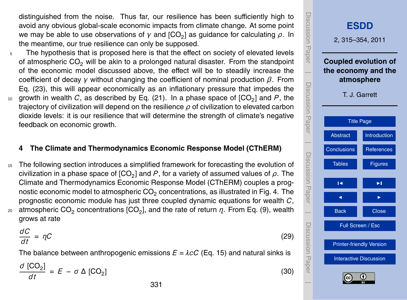<span id="page-16-0"></span>distinguished from the noise. Thus far, our resilience has been sufficiently high to avoid any obvious global-scale economic impacts from climate change. At some point we may be able to use observations of  $γ$  and [CO<sub>2</sub>] as guidance for calculating  $ρ$ . In the meantime, our true resilience can only be supposed.

<sub>5</sub> The hypothesis that is proposed here is that the effect on society of elevated levels of atmospheric  $CO<sub>2</sub>$  will be akin to a prolonged natural disaster. From the standpoint of the economic model discussed above, the effect will be to steadily increase the coefficient of decay *γ* without changing the coefficient of nominal production *β*. From Eq. [\(23\)](#page-12-0), this will appear economically as an inflationary pressure that impedes the  $10$  growth in wealth  $C$ , as described by Eq. [\(21\)](#page-11-0). In a phase space of  $[CO_2]$  and  $P$ , the trajectory of civilization will depend on the resilience *ρ* of civilization to elevated carbon dioxide levels: it is our resilience that will determine the strength of climate's negative feedback on economic growth.

#### **4 The Climate and Thermodynamics Economic Response Model (CThERM)**

<sup>15</sup> The following section introduces a simplified framework for forecasting the evolution of civilization in a phase space of [CO<sub>2</sub>] and  $P$ , for a variety of assumed values of  $\rho.$  The Climate and Thermodynamics Economic Response Model (CThERM) couples a prognostic economic model to atmospheric  $CO<sub>2</sub>$  concentrations, as illustrated in Fig. [4.](#page-35-0) The prognostic economic module has just three coupled dynamic equations for wealth *C*,  $_{20}$  atmospheric CO<sub>2</sub> concentrations [CO<sub>2</sub>], and the rate of return  $η$ . From Eq. [\(9\)](#page-8-0), wealth grows at rate

$$
\frac{dC}{dt} = \eta C \tag{29}
$$

The balance between anthropogenic emissions  $E = \lambda cC$  (Eq. [15\)](#page-9-0) and natural sinks is

$$
\frac{d\text{ [CO}_2]}{dt} = E - \sigma \Delta \text{ [CO}_2] \tag{30}
$$

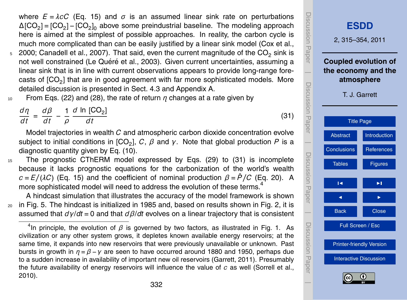where  $E = \lambda cC$  (Eq. [15\)](#page-9-0) and  $\sigma$  is an assumed linear sink rate on perturbations  $\Delta$ [CO<sub>2</sub>] = [CO<sub>2</sub>] – [CO<sub>2</sub>]<sub>0</sub> above some preindustrial baseline. The modeling approach here is aimed at the simplest of possible approaches. In reality, the carbon cycle is much more complicated than can be easily justified by a linear sink model [\(Cox et al.,](#page-27-0)

- $5\,$  [2000;](#page-27-0) [Canadell et al.,](#page-26-0) [2007\)](#page-26-0). That said, even the current magnitude of the CO<sub>2</sub> sink is not well constrained (Le Quéré et al., [2003\)](#page-28-0). Given current uncertainties, assuming a linear sink that is in line with current observations appears to provide long-range forecasts of  $[CO_2]$  that are in good agreement with far more sophisticated models. More detailed discussion is presented in Sect. [4.3](#page-20-0) and Appendix A.
- <sup>10</sup> From Eqs. [\(22\)](#page-11-0) and [\(28\)](#page-15-0), the rate of return *η* changes at a rate given by

*dη d t*  $=\frac{d\beta}{dt}$  $\frac{d\beta}{dt}$  –  $\frac{1}{\rho}$ *ρ d* In [CO<sub>2</sub>] *d t*

Model trajectories in wealth *C* and atmospheric carbon dioxide concentration evolve subject to initial conditions in [CO<sub>2</sub>], C, β and γ. Note that global production P is a diagnostic quantity given by Eq. [\(10\)](#page-8-0).

<sup>15</sup> The prognostic CThERM model expressed by Eqs. [\(29\)](#page-16-0) to (31) is incomplete because it lacks prognostic equations for the carbonization of the world's wealth  $c = E/(\lambda C)$  (Eq. [15\)](#page-9-0) and the coefficient of nominal production  $\beta = \hat{P}/C$  (Eq. [20\)](#page-11-0). A more sophisticated model will need to address the evolution of these terms.<sup>4</sup>

A hindcast simulation that illustrates the accuracy of the model framework is shown <sup>20</sup> in Fig. [5.](#page-36-0) The hindcast is initialized in 1985 and, based on results shown in Fig. [2,](#page-33-0) it is assumed that *d γ*/*dt* = 0 and that *dβ*/*dt* evolves on a linear trajectory that is consistent

<span id="page-17-0"></span><sup>&</sup>lt;sup>4</sup>In principle, the evolution of  $\beta$  is governed by two factors, as illustrated in Fig. [1.](#page-32-0) As civilization or any other system grows, it depletes known available energy reservoirs; at the same time, it expands into new reservoirs that were previously unavailable or unknown. Past bursts in growth in *η* = *β* −*γ* are seen to have occurred around 1880 and 1950, perhaps due to a sudden increase in availability of important new oil reservoirs [\(Garrett,](#page-27-0) [2011\)](#page-27-0). Presumably the future availability of energy reservoirs will influence the value of *c* as well [\(Sorrell et al.,](#page-29-0) [2010\)](#page-29-0).



(31)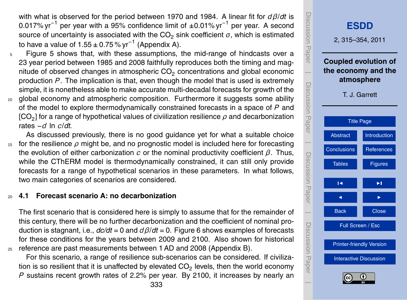with what is observed for the period between 1970 and 1984. A linear fit for *dβ*/*dt* is 0.017% yr<sup>−1</sup> per year with a 95% confidence limit of ±0.01% yr<sup>−1</sup> per year. A second source of uncertainty is associated with the  $CO<sub>2</sub>$  sink coefficient  $\sigma$ , which is estimated to have a value of 1.55 ± 0.75 % yr $^{-1}$  (Appendix A).

- <sup>5</sup> Figure [5](#page-36-0) shows that, with these assumptions, the mid-range of hindcasts over a 23 year period between 1985 and 2008 faithfully reproduces both the timing and magnitude of observed changes in atmospheric CO<sub>2</sub> concentrations and global economic production *P* . The implication is that, even though the model that is used is extremely simple, it is nonetheless able to make accurate multi-decadal forecasts for growth of the
- 10 global economy and atmospheric composition. Furthermore it suggests some ability of the model to explore thermodynamically constrained forecasts in a space of *P* and  $[\mathsf{CO}_2]$  for a range of hypothetical values of civiilization resilience  $\rho$  and decarbonization rates −*d* ln *c*/*dt*.
- As discussed previously, there is no good guidance yet for what a suitable choice <sup>15</sup> for the resilience *ρ* might be, and no prognostic model is included here for forecasting the evolution of either carbonization *c* or the nominal productivity coefficient *β*. Thus, while the CThERM model is thermodynamically constrained, it can still only provide forecasts for a range of hypothetical scenarios in these parameters. In what follows, two main categories of scenarios are considered.

### <sup>20</sup> **4.1 Forecast scenario A: no decarbonization**

The first scenario that is considered here is simply to assume that for the remainder of this century, there will be no further decarbonization and the coefficient of nominal production is stagnant, i.e., *dc/dt* = 0 and *dβ*/*dt* = 0. Figure [6](#page-37-0) shows examples of forecasts for these conditions for the years between 2009 and 2100. Also shown for historical <sup>25</sup> reference are past measurements between 1 AD and 2008 (Appendix B).

For this scenario, a range of resilience sub-scenarios can be considered. If civilization is so resilient that it is unaffected by elevated CO<sub>2</sub> levels, then the world economy *P* sustains recent growth rates of 2.2% per year. By 2100, it increases by nearly an

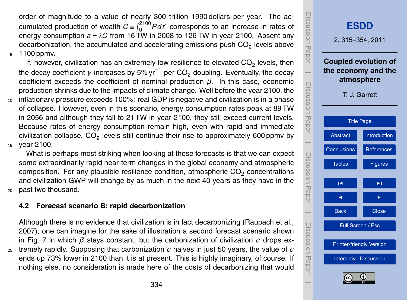<span id="page-19-0"></span>order of magnitude to a value of nearly 300 trillion 1990 dollars per year. The accumulated production of wealth  $C \equiv \int_0^{2100} P dt'$  corresponds to an increase in rates of energy consumption  $a = \lambda C$  from 16 TW in 2008 to 126 TW in year 2100. Absent any decarbonization, the accumulated and accelerating emissions push CO<sub>2</sub> levels above <sup>5</sup> 1100 ppmv.

If, however, civilization has an extremely low resilience to elevated  $CO<sub>2</sub>$  levels, then the decay coefficient  $\gamma$  increases by 5% yr $^{-1}$  per CO<sub>2</sub> doubling. Eventually, the decay coefficient exceeds the coefficient of nominal production *β*. In this case, economic production shrinks due to the impacts of climate change. Well before the year 2100, the <sup>10</sup> inflationary pressure exceeds 100%: real GDP is negative and civilization is in a phase of collapse. However, even in this scenario, energy consumption rates peak at 89 TW in 2056 and although they fall to 21 TW in year 2100, they still exceed current levels. Because rates of energy consumption remain high, even with rapid and immediate civilization collapse,  $\mathsf{CO}_2$  levels still continue their rise to approximately 600 ppmv by <sup>15</sup> year 2100.

What is perhaps most striking when looking at these forecasts is that we can expect some extraordinarily rapid near-term changes in the global economy and atmospheric composition. For any plausible resilience condition, atmospheric  $CO<sub>2</sub>$  concentrations and civilization GWP will change by as much in the next 40 years as they have in the <sup>20</sup> past two thousand.

### **4.2 Forecast scenario B: rapid decarbonization**

Although there is no evidence that civilization is in fact decarbonizing [\(Raupach et al.,](#page-29-0) [2007\)](#page-29-0), one can imagine for the sake of illustration a second forecast scenario shown in Fig. [7](#page-38-0) in which *β* stays constant, but the carbonization of civilization *c* drops ex-

<sup>25</sup> tremely rapidly. Supposing that carbonization *c* halves in just 50 years, the value of *c* ends up 73% lower in 2100 than it is at present. This is highly imaginary, of course. If nothing else, no consideration is made here of the costs of decarbonizing that would

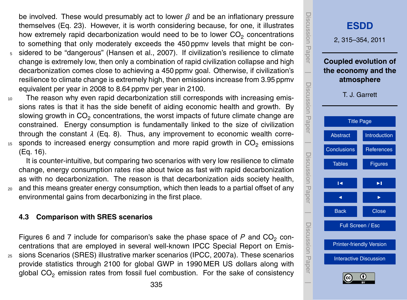<span id="page-20-0"></span>be involved. These would presumably act to lower *β* and be an inflationary pressure themselves (Eq. [23\)](#page-12-0). However, it is worth considering because, for one, it illustrates how extremely rapid decarbonization would need to be to lower  $CO<sub>2</sub>$  concentrations to something that only moderately exceeds the 450 ppmv levels that might be con-

- <sup>5</sup> sidered to be "dangerous" [\(Hansen et al.,](#page-27-0) [2007\)](#page-27-0). If civilization's resilience to climate change is extremely low, then only a combination of rapid civilization collapse and high decarbonization comes close to achieving a 450 ppmv goal. Otherwise, if civilization's resilience to climate change is extremely high, then emissions increase from 3.95 ppmv equivalent per year in 2008 to 8.64 ppmv per year in 2100.
- <sup>10</sup> The reason why even rapid decarbonization still corresponds with increasing emissions rates is that it has the side benefit of aiding economic health and growth. By slowing growth in  $CO<sub>2</sub>$  concentrations, the worst impacts of future climate change are constrained. Energy consumption is fundamentally linked to the size of civilization through the constant *λ* (Eq. [8\)](#page-7-0). Thus, any improvement to economic wealth corre- $15$  sponds to increased energy consumption and more rapid growth in  $CO<sub>2</sub>$  emissions (Eq. [16\)](#page-9-0).

It is counter-intuitive, but comparing two scenarios with very low resilience to climate change, energy consumption rates rise about twice as fast with rapid decarbonization as with no decarbonization. The reason is that decarbonization aids society health, <sup>20</sup> and this means greater energy consumption, which then leads to a partial offset of any

environmental gains from decarbonizing in the first place.

### **4.3 Comparison with SRES scenarios**

Figures [6](#page-37-0) and [7](#page-38-0) include for comparison's sake the phase space of  $P$  and  $CO<sub>2</sub>$  concentrations that are employed in several well-known IPCC Special Report on Emis-<sup>25</sup> sions Scenarios (SRES) illustrative marker scenarios [\(IPCC,](#page-27-0) [2007a\)](#page-27-0). These scenarios provide statistics through 2100 for global GWP in 1990 MER US dollars along with global  $CO<sub>2</sub>$  emission rates from fossil fuel combustion. For the sake of consistency

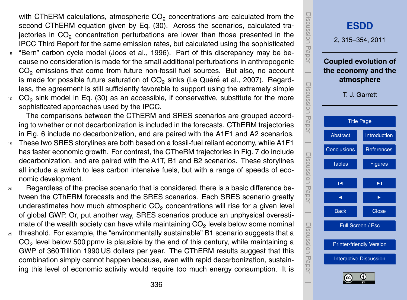<span id="page-21-0"></span>with CThERM calculations, atmospheric CO<sub>2</sub> concentrations are calculated from the second CThERM equation given by Eq. [\(30\)](#page-16-0). Across the scenarios, calculated trajectories in  $CO<sub>2</sub>$  concentration perturbations are lower than those presented in the IPCC Third Report for the same emission rates, but calculated using the sophisticated

- <sup>5</sup> "Bern" carbon cycle model [\(Joos et al.,](#page-28-0) [1996\)](#page-28-0). Part of this discrepancy may be because no consideration is made for the small additional perturbations in anthropogenic CO<sub>2</sub> emissions that come from future non-fossil fuel sources. But also, no account is made for possible future saturation of  $CO<sub>2</sub>$  sinks (Le Quéré et al., [2007\)](#page-28-0). Regardless, the agreement is still sufficiently favorable to support using the extremely simple
- <sup>10</sup> CO<sup>2</sup> sink model in Eq. [\(30\)](#page-16-0) as an accessible, if conservative, substitute for the more sophisticated approaches used by the IPCC.

The comparisons between the CThERM and SRES scenarios are grouped according to whether or not decarbonization is included in the forecasts. CThERM trajectories in Fig. [6](#page-37-0) include no decarbonization, and are paired with the A1F1 and A2 scenarios.

<sup>15</sup> These two SRES storylines are both based on a fossil-fuel reliant economy, while A1F1 has faster economic growth. For contrast, the CTheRM trajectories in Fig. [7](#page-38-0) do include decarbonization, and are paired with the A1T, B1 and B2 scenarios. These storylines all include a switch to less carbon intensive fuels, but with a range of speeds of economic development.

<sup>20</sup> Regardless of the precise scenario that is considered, there is a basic difference between the CThERM forecasts and the SRES scenarios. Each SRES scenario greatly underestimates how much atmospheric  $CO<sub>2</sub>$  concentrations will rise for a given level of global GWP. Or, put another way, SRES scenarios produce an unphysical overestimate of the wealth society can have while maintaining CO<sub>2</sub> levels below some nominal

<sup>25</sup> threshold. For example, the "environmentally sustainable" B1 scenario suggests that a  $\mathsf{CO}_2$  level below 500 ppmv is plausible by the end of this century, while maintaining a GWP of 360 Trillion 1990 US dollars per year. The CThERM results suggest that this combination simply cannot happen because, even with rapid decarbonization, sustaining this level of economic activity would require too much energy consumption. It is

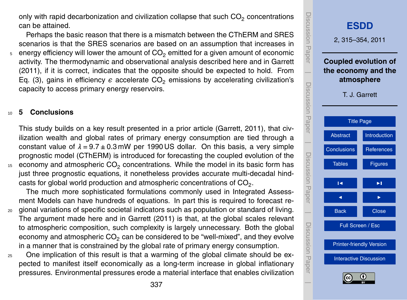<span id="page-22-0"></span>only with rapid decarbonization and civilization collapse that such  $\mathsf{CO}_2$  concentrations can be attained.

Perhaps the basic reason that there is a mismatch between the CThERM and SRES scenarios is that the SRES scenarios are based on an assumption that increases in  $5$  energy efficiency will lower the amount of CO<sub>2</sub> emitted for a given amount of economic activity. The thermodynamic and observational analysis described here and in [Garrett](#page-27-0) [\(2011\)](#page-27-0), if it is correct, indicates that the opposite should be expected to hold. From Eq. [\(3\)](#page-4-0), gains in efficiency  $\epsilon$  accelerate CO<sub>2</sub> emissions by accelerating civilization's capacity to access primary energy reservoirs.

#### <sup>10</sup> **5 Conclusions**

This study builds on a key result presented in a prior article [\(Garrett,](#page-27-0) [2011\)](#page-27-0), that civilization wealth and global rates of primary energy consumption are tied through a constant value of *λ* = 9.7 ± 0.3 mW per 1990 US dollar. On this basis, a very simple prognostic model (CThERM) is introduced for forecasting the coupled evolution of the  $_{^{15}}~$  economy and atmospheric CO<sub>2</sub> concentrations. While the model in its basic form has just three prognostic equations, it nonetheless provides accurate multi-decadal hindcasts for global world production and atmospheric concentrations of CO $_2$ .

The much more sophisticated formulations commonly used in Integrated Assessment Models can have hundreds of equations. In part this is required to forecast re-

- <sup>20</sup> gional variations of specific societal indicators such as population or standard of living. The argument made here and in [Garrett](#page-27-0) [\(2011\)](#page-27-0) is that, at the global scales relevant to atmospheric composition, such complexity is largely unnecessary. Both the global economy and atmospheric  $CO<sub>2</sub>$  can be considered to be "well-mixed", and they evolve in a manner that is constrained by the global rate of primary energy consumption.
- $25$  One implication of this result is that a warming of the global climate should be expected to manifest itself economically as a long-term increase in global inflationary pressures. Environmental pressures erode a material interface that enables civilization

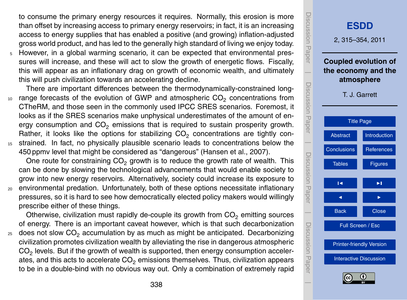<span id="page-23-0"></span>to consume the primary energy resources it requires. Normally, this erosion is more than offset by increasing access to primary energy reservoirs; in fact, it is an increasing access to energy supplies that has enabled a positive (and growing) inflation-adjusted gross world product, and has led to the generally high standard of living we enjoy today.

<sup>5</sup> However, in a global warming scenario, it can be expected that environmental pressures will increase, and these will act to slow the growth of energetic flows. Fiscally, this will appear as an inflationary drag on growth of economic wealth, and ultimately this will push civilization towards an accelerating decline.

There are important differences between the thermodynamically-constrained long- $10<sub>10</sub>$  range forecasts of the evolution of GWP and atmospheric CO<sub>2</sub> concentrations from CTheRM, and those seen in the commonly used IPCC SRES scenarios. Foremost, it looks as if the SRES scenarios make unphysical underestimates of the amount of energy consumption and  $CO<sub>2</sub>$  emissions that is required to sustain prosperity growth. Rather, it looks like the options for stabilizing  $CO<sub>2</sub>$  concentrations are tightly con-<sup>15</sup> strained. In fact, no physically plausible scenario leads to concentrations below the 450 ppmv level that might be considered as "dangerous" [\(Hansen et al.,](#page-27-0) [2007\)](#page-27-0).

One route for constraining  $CO<sub>2</sub>$  growth is to reduce the growth rate of wealth. This can be done by slowing the technological advancements that would enable society to grow into new energy reservoirs. Alternatively, society could increase its exposure to <sup>20</sup> environmental predation. Unfortunately, both of these options necessitate inflationary pressures, so it is hard to see how democratically elected policy makers would willingly prescribe either of these things.

Otherwise, civilization must rapidly de-couple its growth from  $CO<sub>2</sub>$  emitting sources of energy. There is an important caveat however, which is that such decarbonization  $25$  does not slow CO<sub>2</sub> accumulation by as much as might be anticipated. Decarbonizing civilization promotes civilization wealth by alleviating the rise in dangerous atmospheric  $\mathsf{CO}_2$  levels. But if the growth of wealth is supported, then energy consumption accelerates, and this acts to accelerate  $CO<sub>2</sub>$  emissions themselves. Thus, civilization appears to be in a double-bind with no obvious way out. Only a combination of extremely rapid

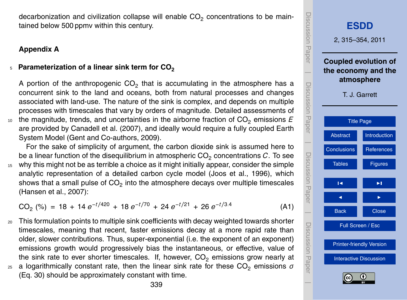<span id="page-24-0"></span>decarbonization and civilization collapse will enable  $\mathsf{CO}_2$  concentrations to be maintained below 500 ppmv within this century.

# **Appendix A**

#### Parameterization of a linear sink term for CO<sub>2</sub> 5

A portion of the anthropogenic  $CO_2$  that is accumulating in the atmosphere has a concurrent sink to the land and oceans, both from natural processes and changes associated with land-use. The nature of the sink is complex, and depends on multiple processes with timescales that vary by orders of magnitude. Detailed assessments of  $10<sub>10</sub>$  the magnitude, trends, and uncertainties in the airborne fraction of  $CO<sub>2</sub>$  emissions  $E$ are provided by [Canadell et al.](#page-26-0) [\(2007\)](#page-26-0), and ideally would require a fully coupled Earth System Model [\(Gent and Co-authors,](#page-27-0) [2009\)](#page-27-0).

For the sake of simplicity of argument, the carbon dioxide sink is assumed here to be a linear function of the disequilibrium in atmospheric  $CO<sub>2</sub>$  concentrations  $C<sub>c</sub>$ . To see <sup>15</sup> why this might not be as terrible a choice as it might initially appear, consider the simple analytic representation of a detailed carbon cycle model [\(Joos et al.,](#page-28-0) [1996\)](#page-28-0), which shows that a small pulse of CO<sub>2</sub> into the atmosphere decays over multiple timescales [\(Hansen et al.,](#page-27-0) [2007\)](#page-27-0):

 $CO_2$  (%) = 18 + 14  $e^{-t/420}$  + 18  $e^{-t/70}$  + 24  $e^{-t/21}$  + 26  $e^{-t/3.4}$ (A1)

- <sup>20</sup> This formulation points to multiple sink coefficients with decay weighted towards shorter timescales, meaning that recent, faster emissions decay at a more rapid rate than older, slower contributions. Thus, super-exponential (i.e. the exponent of an exponent) emissions growth would progressively bias the instantaneous, or effective, value of the sink rate to ever shorter timescales. If, however,  $CO<sub>2</sub>$  emissions grow nearly at  $25$  a logarithmically constant rate, then the linear sink rate for these CO<sub>2</sub> emissions  $σ$ 
	- (Eq. [30\)](#page-16-0) should be approximately constant with time.

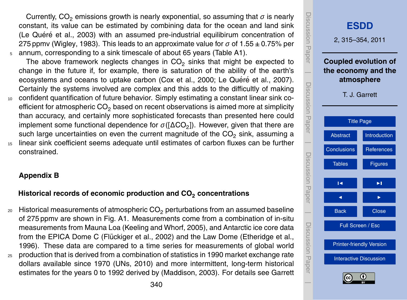<span id="page-25-0"></span>Currently,  $CO<sub>2</sub>$  emissions growth is nearly exponential, so assuming that  $\sigma$  is nearly constant, its value can be estimated by combining data for the ocean and land sink (Le Quéré et al., [2003\)](#page-28-0) with an assumed pre-industrial equilibirum concentration of 275 ppmv [\(Wigley,](#page-29-0) [1983\)](#page-29-0). This leads to an approximate value for  $\sigma$  of 1.55  $\pm$  0.75% per <sup>5</sup> annum, corresponding to a sink timescale of about 65 years (Table A1).

The above framework neglects changes in  $CO_2$  sinks that might be expected to change in the future if, for example, there is saturation of the ability of the earth's ecosystems and oceans to uptake carbon [\(Cox et al.,](#page-27-0) [2000;](#page-27-0) Le Quéré et al., [2007\)](#page-28-0). Certainly the systems involved are complex and this adds to the difficultly of making <sup>10</sup> confident quantification of future behavior. Simply estimating a constant linear sink coefficient for atmospheric CO<sub>2</sub> based on recent observations is aimed more at simplicity

than accuracy, and certainly more sophisticated forecasts than presented here could implement some functional dependence for  $\sigma(\text{[ACO}_2])$ . However, given that there are such large uncertainties on even the current magnitude of the  $CO<sub>2</sub>$  sink, assuming a

<sup>15</sup> linear sink coefficient seems adequate until estimates of carbon fluxes can be further constrained.

# **Appendix B**

# **Historical records of economic production and CO<sup>2</sup> concentrations**

- $20$  Historical measurements of atmospheric CO<sub>2</sub> perturbations from an assumed baseline of 275 ppmv are shown in Fig. A1. Measurements come from a combination of in-situ measurements from Mauna Loa [\(Keeling and Whorf,](#page-28-0) [2005\)](#page-28-0), and Antarctic ice core data from the EPICA Dome C (Flückiger et al., [2002\)](#page-27-0) and the Law Dome [\(Etheridge et al.,](#page-27-0) [1996\)](#page-27-0). These data are compared to a time series for measurements of global world <sup>25</sup> production that is derived from a combination of statistics in 1990 market exchange rate
- dollars available since 1970 [\(UNs,](#page-29-0) [2010\)](#page-29-0) and more intermittent, long-term historical estimates for the years 0 to 1992 derived by [\(Maddison,](#page-28-0) [2003\)](#page-28-0). For details see [Garrett](#page-27-0)

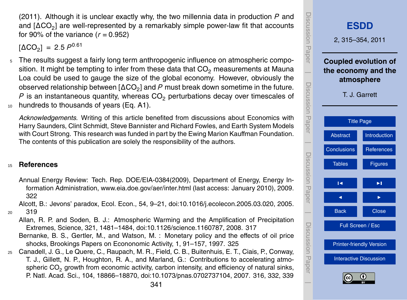<span id="page-26-0"></span>[\(2011\)](#page-27-0). Although it is unclear exactly why, the two millennia data in production *P* and and [∆CO<sub>2</sub>] are well-represented by a remarkably simple power-law fit that accounts for 90% of the variance  $(r = 0.952)$ 

 $[\Delta CO_2] = 2.5 P^{0.61}$ 

<sup>5</sup> The results suggest a fairly long term anthropogenic influence on atmospheric composition. It might be tempting to infer from these data that  $CO<sub>2</sub>$  measurements at Mauna Loa could be used to gauge the size of the global economy. However, obviously the observed relationship between [ $\Delta CO_{2}$ ] and  $P$  must break down sometime in the future.  $P$  is an instantaneous quantity, whereas  $CO<sub>2</sub>$  perturbations decay over timescales of 10 hundreds to thousands of years (Eq. [A1\)](#page-24-0).

*Acknowledgements.* Writing of this article benefited from discussions about Economics with Harry Saunders, Clint Schmidt, Steve Bannister and Richard Fowles, and Earth System Models with Court Strong. This research was funded in part by the Ewing Marion Kauffman Foundation. The contents of this publication are solely the responsibility of the authors.

# <sup>15</sup> **References**

Annual Energy Review: Tech. Rep. DOE/EIA-0384(2009), Department of Energy, Energy Information Administration, <www.eia.doe.gov/aer/inter.html> (last access: January 2010), 2009. [322](#page-7-0)

Alcott, B.: Jevons' paradox, Ecol. Econ., 54, 9–21, [doi:10.1016/j.ecolecon.2005.03.020,](http://dx.doi.org/10.1016/j.ecolecon.2005.03.020) 2005. <sup>20</sup> [319](#page-4-0)

- Allan, R. P. and Soden, B. J.: Atmospheric Warming and the Amplification of Precipitation Extremes, Science, 321, 1481–1484, [doi:10.1126/science.1160787,](http://dx.doi.org/10.1126/science.1160787) 2008. [317](#page-2-0)
- Bernanke, B. S., Gertler, M., and Watson, M. : Monetary policy and the effects of oil price shocks, Brookings Papers on Econonomic Activity, 1, 91–157, 1997. [325](#page-10-0)
- <sup>25</sup> Canadell, J. G., Le Quere, C., Raupach, M. R., Field, C. B., Buitenhuis, E. T., Ciais, P., Conway, T. J., Gillett, N. P., Houghton, R. A., and Marland, G.: Contributions to accelerating atmospheric CO<sub>2</sub> growth from economic activity, carbon intensity, and efficiency of natural sinks, P. Natl. Acad. Sci., 104, 18866–18870, [doi:10.1073/pnas.0702737104,](http://dx.doi.org/10.1073/pnas.0702737104) 2007. [316,](#page-1-0) [332,](#page-17-0) [339](#page-24-0)

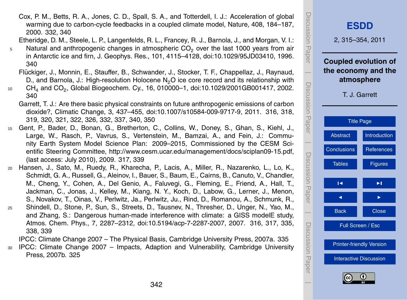- <span id="page-27-0"></span>Cox, P. M., Betts, R. A., Jones, C. D., Spall, S. A., and Totterdell, I. J.: Acceleration of global warming due to carbon-cycle feedbacks in a coupled climate model, Nature, 408, 184–187, 2000. [332,](#page-17-0) [340](#page-25-0)
- Etheridge, D. M., Steele, L. P., Langenfelds, R. L., Francey, R. J., Barnola, J., and Morgan, V. I.:  $5$  Natural and anthropogenic changes in atmospheric CO<sub>2</sub> over the last 1000 years from air
- in Antarctic ice and firn, J. Geophys. Res., 101, 4115–4128, [doi:10.1029/95JD03410,](http://dx.doi.org/10.1029/95JD03410) 1996. [340](#page-25-0)
	- Flückiger, J., Monnin, E., Stauffer, B., Schwander, J., Stocker, T. F., Chappellaz, J., Raynaud, D., and Barnola, J.: High-resolution Holocene N<sub>2</sub>O ice core record and its relationship with
- $_{^{10}}$   $\,$  CH $_{4}$  and CO $_{2}$ , Global Biogeochem. Cy., 16, 010000–1, [doi:10.1029/2001GB001417,](http://dx.doi.org/10.1029/2001GB001417) 2002. [340](#page-25-0)
	- Garrett, T. J.: Are there basic physical constraints on future anthropogenic emissions of carbon dioxide?, Climatic Change, 3, 437–455, [doi:10.1007/s10584-009-9717-9,](http://dx.doi.org/10.1007/s10584-009-9717-9) 2011. [316,](#page-1-0) [318,](#page-3-0) [319,](#page-4-0) [320,](#page-5-0) [321,](#page-6-0) [322,](#page-7-0) [326,](#page-11-0) [332,](#page-17-0) [337,](#page-22-0) [340,](#page-25-0) [350](#page-35-0)
- <sup>15</sup> Gent, P., Bader, D., Bonan, G., Bretherton, C., Collins, W., Doney, S., Ghan, S., Kiehl, J., Large, W., Rasch, P., Vavrus, S., Vertenstein, M., Bamzai, A., and Fein, J.: Community Earth System Model Science Plan: 2009–2015, Commissioned by the CESM Scientific Steering Committee, [http://www.cesm.ucar.edu/management/docs/sciplan09-15.pdf,](http://www.cesm.ucar.edu/management/docs/sciplan09-15.pdf) (last access: July 2010), 2009. [317,](#page-2-0) [339](#page-24-0)
- <sup>20</sup> Hansen, J., Sato, M., Ruedy, R., Kharecha, P., Lacis, A., Miller, R., Nazarenko, L., Lo, K., Schmidt, G. A., Russell, G., Aleinov, I., Bauer, S., Baum, E., Cairns, B., Canuto, V., Chandler, M., Cheng, Y., Cohen, A., Del Genio, A., Faluvegi, G., Fleming, E., Friend, A., Hall, T., Jackman, C., Jonas, J., Kelley, M., Kiang, N. Y., Koch, D., Labow, G., Lerner, J., Menon, S., Novakov, T., Oinas, V., Perlwitz, Ja., Perlwitz, Ju., Rind, D., Romanou, A., Schmunk, R., <sup>25</sup> Shindell, D., Stone, P., Sun, S., Streets, D., Tausnev, N., Thresher, D., Unger, N., Yao, M., and Zhang, S.: Dangerous human-made interference with climate: a GISS modelE study,
	- Atmos. Chem. Phys., 7, 2287–2312, [doi:10.5194/acp-7-2287-2007,](http://dx.doi.org/10.5194/acp-7-2287-2007) 2007. [316,](#page-1-0) [317,](#page-2-0) [335,](#page-20-0) [338,](#page-23-0) [339](#page-24-0)
	- IPCC: Climate Change 2007 The Physical Basis, Cambridge University Press, 2007a. [335](#page-20-0)
- <sup>30</sup> IPCC: Climate Change 2007 Impacts, Adaption and Vulnerability, Cambridge University Press, 2007b. [325](#page-10-0)

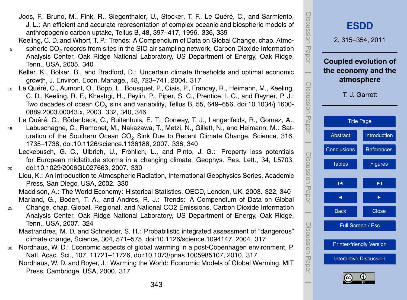343

- <span id="page-28-0"></span>Joos, F., Bruno, M., Fink, R., Siegenthaler, U., Stocker, T. F., Le Quéré, C., and Sarmiento, J. L.: An efficient and accurate representation of complex oceanic and biospheric models of anthropogenic carbon uptake, Tellus B, 48, 397–417, 1996. [336,](#page-21-0) [339](#page-24-0)
- Keeling, C. D. and Whorf, T. P.: Trends: A Compendium of Data on Global Change, chap. Atmo-
- $_{5}$  spheric CO<sub>2</sub> records from sites in the SIO air sampling network, Carbon Dioxide Information Analysis Center, Oak Ridge National Laboratory, US Department of Energy, Oak Ridge, Tenn., USA, 2005. [340](#page-25-0)
	- Keller, K., Bolker, B., and Bradford, D.: Uncertain climate thresholds and optimal economic growth, J. Environ. Econ. Manage., 48, 723–741, 2004. [317](#page-2-0)
- 10 Le Quéré, C., Aumont, O., Bopp, L., Bousquet, P., Ciais, P., Francey, R., Heimann, M., Keeling, C. D., Keeling, R. F., Kheshgi, H., Peylin, P., Piper, S. C., Prentice, I. C., and Rayner, P. J.: Two decades of ocean  $\mathsf{CO}_2$  sink and variability, Tellus B, 55, 649–656, [doi:10.1034/j.1600-](http://dx.doi.org/10.1034/j.1600-0889.2003.00043.x) [0889.2003.00043.x,](http://dx.doi.org/10.1034/j.1600-0889.2003.00043.x) 2003. [332,](#page-17-0) [340,](#page-25-0) [346](#page-31-0)
	- Le Quéré, C., Rödenbeck, C., Buitenhuis, E. T., Conway, T. J., Langenfelds, R., Gomez, A.,
- <sup>15</sup> Labuschagne, C., Ramonet, M., Nakazawa, T., Metzi, N., Gillett, N., and Heimann, M.: Saturation of the Southern Ocean CO<sub>2</sub> Sink Due to Recent Climate Change, Science, 316, 1735–1738, [doi:10.1126/science.1136188,](http://dx.doi.org/10.1126/science.1136188) 2007. [336,](#page-21-0) [340](#page-25-0)
- Leckebusch, G. C., Ulbrich, U., Fröhlich, L., and Pinto, J. G.: Property loss potentials for European midlatitude storms in a changing climate, Geophys. Res. Lett., 34, L5703, <sup>20</sup> [doi:10.1029/2006GL027663,](http://dx.doi.org/10.1029/2006GL027663) 2007. [330](#page-15-0)
	- Liou, K.: An Introduction to Atmospheric Radiation, International Geophysics Series, Academic Press, San Diego, USA, 2002. [330](#page-15-0)
	- Maddison, A.: The World Economy: Historical Statistics, OECD, London, UK, 2003. [322,](#page-7-0) [340](#page-25-0) Marland, G., Boden, T. A., and Andres, R. J.: Trends: A Compendium of Data on Global
- <sup>25</sup> Change, chap. Global, Regional, and National CO2 Emissions, Carbon Dioxide Information Analysis Center, Oak Ridge National Laboratory, US Department of Energy, Oak Ridge, Tenn., USA, 2007. [324](#page-9-0)
	- Mastrandrea, M. D. and Schneider, S. H.: Probabilistic integrated assessment of "dangerous" climate change, Science, 304, 571–575, [doi:10.1126/science.1094147,](http://dx.doi.org/10.1126/science.1094147) 2004. [317](#page-2-0)
- <sup>30</sup> Nordhaus, W. D.: Economic aspects of global warming in a post-Copenhagen environment, P. Natl. Acad. Sci., 107, 11721–11726, [doi:10.1073/pnas.1005985107,](http://dx.doi.org/10.1073/pnas.1005985107) 2010. [317](#page-2-0) Nordhaus, W. D. and Boyer, J.: Warming the World: Economic Models of Global Warming, MIT Press, Cambridge, USA, 2000. [317](#page-2-0)

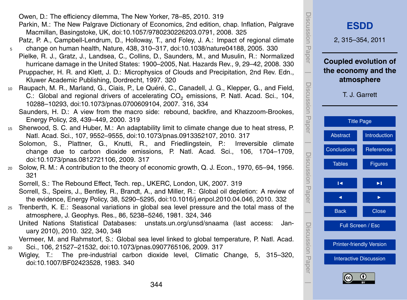<span id="page-29-0"></span>

| Owen, D.: The efficiency dilemma, The New Yorker, 78-85, 2010. 319 |  |  |  |
|--------------------------------------------------------------------|--|--|--|
|--------------------------------------------------------------------|--|--|--|

Parkin, M.: The New Palgrave Dictionary of Economics, 2nd edition, chap. Inflation, Palgrave Macmillan, Basingstoke, UK, [doi:10.1057/9780230226203.0791,](http://dx.doi.org/10.1057/9780230226203.0791) 2008. [325](#page-10-0)

Patz, P. A., Campbell-Lendrum, D., Holloway, T., and Foley, J. A.: Impact of regional climate <sup>5</sup> change on human health, Nature, 438, 310–317, [doi:10.1038/nature04188,](http://dx.doi.org/10.1038/nature04188) 2005. [330](#page-15-0)

- Pielke, R. J., Gratz, J., Landsea, C., Collins, D., Saunders, M., and Musulin, R.: Normalized hurricane damage in the United States: 1900–2005, Nat. Hazards Rev., 9, 29–42, 2008. [330](#page-15-0)
- Pruppacher, H. R. and Klett, J. D.: Microphysics of Clouds and Precipitation, 2nd Rev. Edn., Kluwer Academic Publishing, Dordrecht, 1997. [320](#page-5-0)
- 10 Raupach, M. R., Marland, G., Ciais, P., Le Quéré, C., Canadell, J. G., Klepper, G., and Field, C.: Global and regional drivers of accelerating CO<sub>2</sub> emissions, P. Natl. Acad. Sci., 104, 10288–10293, [doi:10.1073/pnas.0700609104,](http://dx.doi.org/10.1073/pnas.0700609104) 2007. [316,](#page-1-0) [334](#page-19-0)

Saunders, H. D.: A view from the macro side: rebound, backfire, and Khazzoom-Brookes, Energy Policy, 28, 439–449, 2000. [319](#page-4-0)

- <sup>15</sup> Sherwood, S. C. and Huber, M.: An adaptability limit to climate change due to heat stress, P. Natl. Acad. Sci., 107, 9552–9555, [doi:10.1073/pnas.0913352107,](http://dx.doi.org/10.1073/pnas.0913352107) 2010. [317](#page-2-0)
	- Solomon, S., Plattner, G., Knutti, R., and Friedlingstein, P.: Irreversible climate change due to carbon dioxide emissions, P. Natl. Acad. Sci., 106, 1704–1709, [doi:10.1073/pnas.0812721106,](http://dx.doi.org/10.1073/pnas.0812721106) 2009. [317](#page-2-0)
- <sup>20</sup> Solow, R. M.: A contribution to the theory of economic growth, Q. J. Econ., 1970, 65–94, 1956. [321](#page-6-0)

Sorrell, S.: The Rebound Effect, Tech. rep., UKERC, London, UK, 2007. [319](#page-4-0)

- Sorrell, S., Speirs, J., Bentley, R., Brandt, A., and Miller, R.: Global oil depletion: A review of the evidence, Energy Policy, 38, 5290–5295, [doi:10.1016/j.enpol.2010.04.046,](http://dx.doi.org/10.1016/j.enpol.2010.04.046) 2010. [332](#page-17-0)
- <sup>25</sup> Trenberth, K. E.: Seasonal variations in global sea level pressure and the total mass of the atmosphere, J. Geophys. Res., 86, 5238–5246, 1981. [324,](#page-9-0) [346](#page-31-0)

United Nations Statistical Databases: <unstats.un.org/unsd/snaama> (last access: January 2010), 2010. [322,](#page-7-0) [340,](#page-25-0) [348](#page-33-0)

Vermeer, M. and Rahmstorf, S.: Global sea level linked to global temperature, P. Natl. Acad. <sup>30</sup> Sci., 106, 21527–21532, [doi:10.1073/pnas.0907765106,](http://dx.doi.org/10.1073/pnas.0907765106) 2009. [317](#page-2-0)

Wigley, T.: The pre-industrial carbon dioxide level, Climatic Change, 5, 315–320, [doi:10.1007/BF02423528,](http://dx.doi.org/10.1007/BF02423528) 1983. [340](#page-25-0)

| Discussion Paper              | <b>ESDD</b><br>2, 315-354, 2011                                                   |                   |  |  |  |  |  |  |
|-------------------------------|-----------------------------------------------------------------------------------|-------------------|--|--|--|--|--|--|
| Discussion Paper              | <b>Coupled evolution of</b><br>the economy and the<br>atmosphere<br>T. J. Garrett |                   |  |  |  |  |  |  |
|                               | <b>Title Page</b>                                                                 |                   |  |  |  |  |  |  |
|                               | <b>Abstract</b>                                                                   | Introduction      |  |  |  |  |  |  |
|                               | Conclusions                                                                       | <b>References</b> |  |  |  |  |  |  |
| Discussion Paper              | <b>Tables</b>                                                                     | <b>Figures</b>    |  |  |  |  |  |  |
|                               | К                                                                                 | ►∣                |  |  |  |  |  |  |
|                               | ◀                                                                                 |                   |  |  |  |  |  |  |
|                               | <b>Back</b>                                                                       | <b>Close</b>      |  |  |  |  |  |  |
| Discussion<br>Discussion<br>L | Full Screen / Esc                                                                 |                   |  |  |  |  |  |  |
|                               | <b>Printer-friendly Version</b>                                                   |                   |  |  |  |  |  |  |
|                               | <b>Interactive Discussion</b>                                                     |                   |  |  |  |  |  |  |
|                               | (cc                                                                               | G)                |  |  |  |  |  |  |

DISCUSSION **Pape**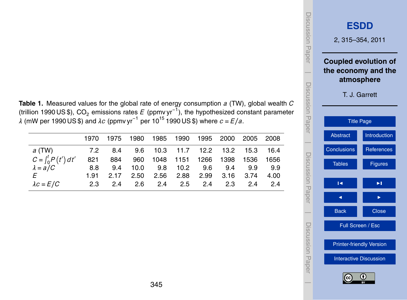<span id="page-30-0"></span>

| Table 1. Measured values for the global rate of energy consumption a (TW), global wealth C                             |
|------------------------------------------------------------------------------------------------------------------------|
| (trillion 1990 US \$), CO <sub>2</sub> emissions rates E (ppmv yr <sup>-1</sup> ), the hypothesized constant parameter |
| $\lambda$ (mW per 1990 US \$) and $\lambda c$ (ppmv yr $^{-1}$ per 10 <sup>15</sup> 1990 US \$) where $c$ = E/a.       |

|                                                  |  | 1970 1975 1980 1985 1990 1995 2000 2005 2008   |  |  |      |
|--------------------------------------------------|--|------------------------------------------------|--|--|------|
| a (TW) 7.2 8.4 9.6 10.3 11.7 12.2 13.2 15.3 16.4 |  |                                                |  |  |      |
| $C=\int_0^t P(t') dt'$                           |  | 821 884 960 1048 1151 1266 1398 1536 1656      |  |  |      |
| $\lambda = a/C$                                  |  | 8.8 9.4 10.0 9.8 10.2 9.6 9.4 9.9 9.9          |  |  |      |
| $\overline{F}$                                   |  | 1.91  2.17  2.50  2.56  2.88  2.99  3.16  3.74 |  |  | 4.00 |
| $\lambda c = E/C$                                |  | 2.3 2.4 2.6 2.4 2.5 2.4 2.3 2.4 2.4            |  |  |      |

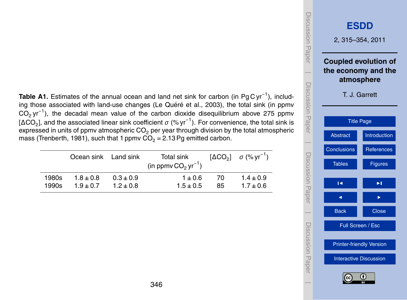<span id="page-31-0"></span>Table A1. Estimates of the annual ocean and land net sink for carbon (in Pg C yr<sup>-1</sup>), includ-ing those associated with land-use changes (Le Quéré et al., [2003\)](#page-28-0), the total sink (in ppmv  $CO<sub>2</sub>$  yr<sup>-1</sup>), the decadal mean value of the carbon dioxide disequilibrium above 275 ppmv [ΔCO<sub>2</sub>], and the associated linear sink coefficient  $\sigma$  (% yr<sup>−1</sup>). For convenience, the total sink is expressed in units of ppmv atmospheric  $CO<sub>2</sub>$  per year through division by the total atmospheric mass [\(Trenberth,](#page-29-0) [1981\)](#page-29-0), such that 1 ppmv  $CO<sub>2</sub> = 2.13$  Pg emitted carbon.

|       | Ocean sink Land sink |               | Total sink<br>(in ppmv $CO2$ yr <sup>-1</sup> ) |    | $[\Delta CO_2]$ $\sigma$ (% yr <sup>-1</sup> ) |
|-------|----------------------|---------------|-------------------------------------------------|----|------------------------------------------------|
| 1980s | $1.8 + 0.8$          | $0.3 \pm 0.9$ | $1 + 0.6$                                       | 70 | $1.4 \pm 0.9$                                  |
| 1990s | $1.9 + 0.7$          | $1.2 \pm 0.8$ | $1.5 + 0.5$                                     | 85 | $1.7 + 0.6$                                    |

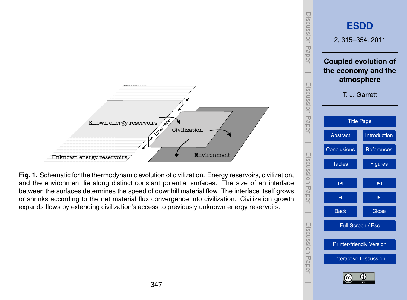<span id="page-32-0"></span>

**Fig. 1.** Schematic for the thermodynamic evolution of civilization. Energy reservoirs, civilization, and the environment lie along distinct constant potential surfaces. The size of an interface between the surfaces determines the speed of downhill material flow. The interface itself grows or shrinks according to the net material flux convergence into civilization. Civilization growth expands flows by extending civilization's access to previously unknown energy reservoirs.

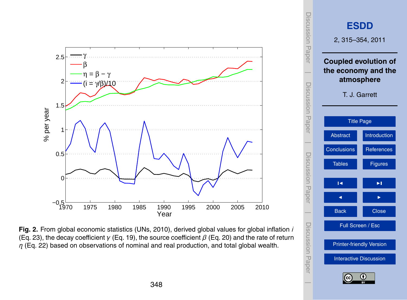<span id="page-33-0"></span>

**Fig. 2.** From global economic statistics [\(UNs,](#page-29-0) [2010\)](#page-29-0), derived global values for global inflation *i* (Eq. [23\)](#page-12-0), the decay coefficient *γ* (Eq. [19\)](#page-11-0), the source coefficient *β* (Eq. [20\)](#page-11-0) and the rate of return *η* (Eq. [22\)](#page-11-0) based on observations of nominal and real production, and total global wealth.

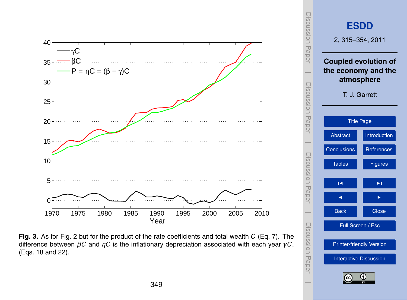<span id="page-34-0"></span>

**Fig. 3.** As for Fig. [2](#page-33-0) but for the product of the rate coefficients and total wealth *C* (Eq. [7\)](#page-6-0). The difference between *βC* and *ηC* is the inflationary depreciation associated with each year *γC*. (Eqs. [18](#page-11-0) and [22\)](#page-11-0).

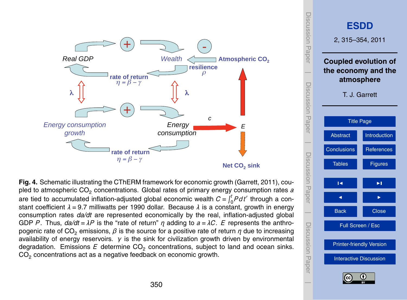<span id="page-35-0"></span>

**Fig. 4.** Schematic illustrating the CThERM framework for economic growth [\(Garrett,](#page-27-0) [2011\)](#page-27-0), coupled to atmospheric CO<sub>2</sub> concentrations. Global rates of primary energy consumption rates *a* are tied to accumulated inflation-adjusted global economic wealth  $C = \int_0^t P dt'$  through a constant coefficient *λ* = 9.7 milliwatts per 1990 dollar. Because *λ* is a constant, growth in energy consumption rates *da/dt* are represented economically by the real, inflation-adjusted global GDP *P* . Thus, *da/dt* = *λP* is the "rate of return" *η* adding to *a* = *λC*. *E* represents the anthropogenic rate of CO<sub>2</sub> emissions,  $\beta$  is the source for a positive rate of return  $\eta$  due to increasing availability of energy reservoirs. *γ* is the sink for civilization growth driven by environmental degradation. Emissions E determine  $CO_2$  concentrations, subject to land and ocean sinks. CO<sub>2</sub> concentrations act as a negative feedback on economic growth.

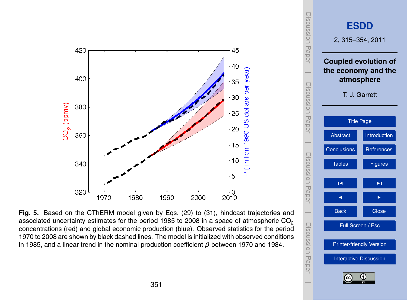<span id="page-36-0"></span>

**Fig. 5.** Based on the CThERM model given by Eqs. [\(29\)](#page-16-0) to [\(31\)](#page-17-0), hindcast trajectories and associated uncertainty estimates for the period 1985 to 2008 in a space of atmospheric  $CO<sub>2</sub>$ concentrations (red) and global economic production (blue). Observed statistics for the period 1970 to 2008 are shown by black dashed lines. The model is initialized with observed conditions in 1985, and a linear trend in the nominal production coefficient *β* between 1970 and 1984.



 $\overline{\phantom{a}}$ 

Discussion Paper

 $\overline{\phantom{a}}$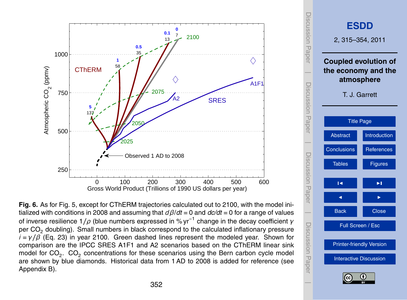<span id="page-37-0"></span>

**Fig. 6.** As for Fig. [5,](#page-36-0) except for CThERM trajectories calculated out to 2100, with the model initialized with conditions in 2008 and assuming that *dβ*/*dt* = 0 and *dc/dt* = 0 for a range of values of inverse resilience 1*/ρ* (blue numbers expressed in % yr<sup>−</sup><sup>1</sup> change in the decay coefficient *γ* per CO<sub>2</sub> doubling). Small numbers in black correspond to the calculated inflationary pressure  $i = v/\beta$  (Eq. [23\)](#page-12-0) in year 2100. Green dashed lines represent the modeled year. Shown for comparison are the IPCC SRES A1F1 and A2 scenarios based on the CThERM linear sink model for CO<sub>2</sub>. CO<sub>2</sub> concentrations for these scenarios using the Bern carbon cycle model are shown by blue diamonds. Historical data from 1 AD to 2008 is added for reference (see Appendix B).

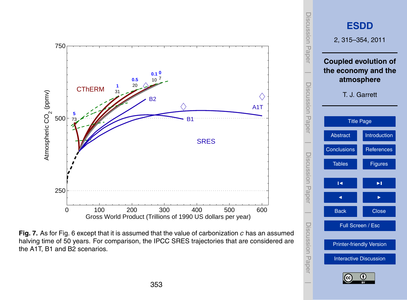<span id="page-38-0"></span>

**Fig. 7.** As for Fig. [6](#page-37-0) except that it is assumed that the value of carbonization *c* has an assumed halving time of 50 years. For comparison, the IPCC SRES trajectories that are considered are the A1T, B1 and B2 scenarios.